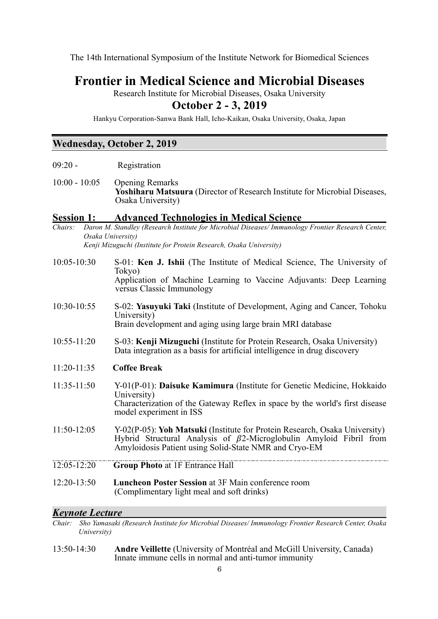The 14th International Symposium of the Institute Network for Biomedical Sciences

# **Frontier in Medical Science and Microbial Diseases**

Research Institute for Microbial Diseases, Osaka University **October 2 - 3, 2019**

Hankyu Corporation-Sanwa Bank Hall, Icho-Kaikan, Osaka University, Osaka, Japan

## **Wednesday, October 2, 2019**

- 09:20 Registration
- 10:00 10:05 Opening Remarks **Yoshiharu Matsuura** (Director of Research Institute for Microbial Diseases, Osaka University)

#### **Session 1: Advanced Technologies in Medical Science**

- *Chairs: Daron M. Standley (Research Institute for Microbial Diseases/ Immunology Frontier Research Center, Osaka University) Kenji Mizuguchi (Institute for Protein Research, Osaka University)* 10:05-10:30 S-01: **Ken J. Ishii** (The Institute of Medical Science, The University of Tokyo)
	- Application of Machine Learning to Vaccine Adjuvants: Deep Learning versus Classic Immunology
- 10:30-10:55 S-02: **Yasuyuki Taki** (Institute of Development, Aging and Cancer, Tohoku University) Brain development and aging using large brain MRI database
- 10:55-11:20 S-03: **Kenji Mizuguchi** (Institute for Protein Research, Osaka University) Data integration as a basis for artificial intelligence in drug discovery
- 11:20-11:35 **Coffee Break**
- 11:35-11:50 Y-01(P-01): **Daisuke Kamimura** (Institute for Genetic Medicine, Hokkaido University) Characterization of the Gateway Reflex in space by the world's first disease model experiment in ISS
- 11:50-12:05 Y-02(P-05): **Yoh Matsuki** (Institute for Protein Research, Osaka University) Hybrid Structural Analysis of  $\beta$ 2-Microglobulin Amyloid Fibril from Amyloidosis Patient using Solid-State NMR and Cryo-EM  $\overline{a}$
- 12:05-12:20 **Group Photo** at 1F Entrance Hall
- 12:20-13:50 **Luncheon Poster Session** at 3F Main conference room (Complimentary light meal and soft drinks)

### *Keynote Lecture*

- *Chair: Sho Yamasaki (Research Institute for Microbial Diseases/ Immunology Frontier Research Center, Osaka University)*
- 13:50-14:30 **Andre Veillette** (University of Montréal and McGill University, Canada) Innate immune cells in normal and anti-tumor immunity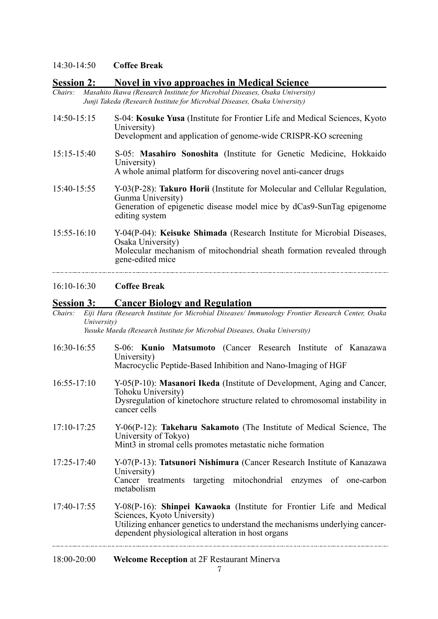#### 14:30-14:50 **Coffee Break**

#### **Session 2: Novel in vivo approaches in Medical Science**

*Chairs: Masahito Ikawa (Research Institute for Microbial Diseases, Osaka University) Junji Takeda (Research Institute for Microbial Diseases, Osaka University)*

- 14:50-15:15 S-04: **Kosuke Yusa** (Institute for Frontier Life and Medical Sciences, Kyoto University) Development and application of genome-wide CRISPR-KO screening
- 15:15-15:40 S-05: **Masahiro Sonoshita** (Institute for Genetic Medicine, Hokkaido University) A whole animal platform for discovering novel anti-cancer drugs
- 15:40-15:55 Y-03(P-28): **Takuro Horii** (Institute for Molecular and Cellular Regulation, Gunma University) Generation of epigenetic disease model mice by dCas9-SunTag epigenome editing system
- 15:55-16:10 Y-04(P-04): **Keisuke Shimada** (Research Institute for Microbial Diseases, Osaka University) Molecular mechanism of mitochondrial sheath formation revealed through gene-edited mice

16:10-16:30 **Coffee Break**

#### **Session 3: Cancer Biology and Regulation**

| Chairs:<br>University) | Eiji Hara (Research Institute for Microbial Diseases/ Immunology Frontier Research Center, Osaka<br>Yusuke Maeda (Research Institute for Microbial Diseases, Osaka University)                                                          |
|------------------------|-----------------------------------------------------------------------------------------------------------------------------------------------------------------------------------------------------------------------------------------|
| 16:30-16:55            | S-06: Kunio Matsumoto (Cancer Research Institute of Kanazawa<br>University)<br>Macrocyclic Peptide-Based Inhibition and Nano-Imaging of HGF                                                                                             |
| $16:55 - 17:10$        | Y-05(P-10): Masanori Ikeda (Institute of Development, Aging and Cancer,<br>Tohoku University)<br>Dysregulation of kinetochore structure related to chromosomal instability in<br>cancer cells                                           |
| 17:10-17:25            | Y-06(P-12): Takeharu Sakamoto (The Institute of Medical Science, The<br>University of Tokyo)<br>Mint3 in stromal cells promotes metastatic niche formation                                                                              |
| 17:25-17:40            | Y-07(P-13): Tatsunori Nishimura (Cancer Research Institute of Kanazawa<br>University)<br>Cancer treatments targeting mitochondrial enzymes of one-carbon<br>metabolism                                                                  |
| 17:40-17:55            | Y-08(P-16): Shinpei Kawaoka (Institute for Frontier Life and Medical<br>Sciences, Kyoto University)<br>Utilizing enhancer genetics to understand the mechanisms underlying cancer-<br>dependent physiological alteration in host organs |
| 18:00-20:00            | <b>Welcome Reception at 2F Restaurant Minerva</b>                                                                                                                                                                                       |

7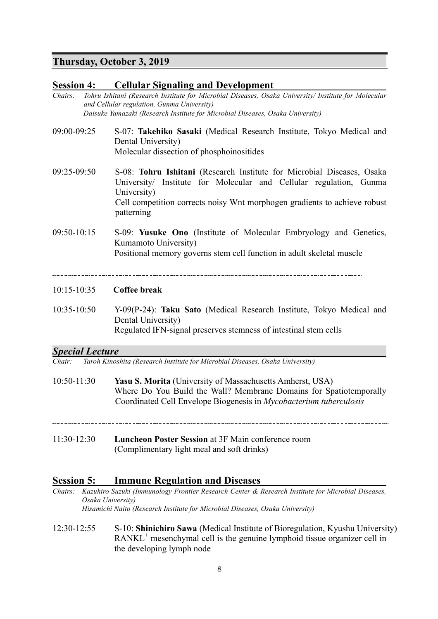#### **Thursday, October 3, 2019**

#### **Session 4: Cellular Signaling and Development**

- *Chairs: Tohru Ishitani (Research Institute for Microbial Diseases, Osaka University/ Institute for Molecular and Cellular regulation, Gunma University) Daisuke Yamazaki (Research Institute for Microbial Diseases, Osaka University)*
- 09:00-09:25 S-07: **Takehiko Sasaki** (Medical Research Institute, Tokyo Medical and Dental University) Molecular dissection of phosphoinositides
- 09:25-09:50 S-08: **Tohru Ishitani** (Research Institute for Microbial Diseases, Osaka University/ Institute for Molecular and Cellular regulation, Gunma University) Cell competition corrects noisy Wnt morphogen gradients to achieve robust patterning
- 09:50-10:15 S-09: **Yusuke Ono** (Institute of Molecular Embryology and Genetics, Kumamoto University) Positional memory governs stem cell function in adult skeletal muscle
- 10:15-10:35 **Coffee break**
- 10:35-10:50 Y-09(P-24): **Taku Sato** (Medical Research Institute, Tokyo Medical and Dental University) Regulated IFN-signal preserves stemness of intestinal stem cells

#### *Special Lecture*

 $\overline{a}$ 

*Chair: Taroh Kinoshita (Research Institute for Microbial Diseases, Osaka University)* 

- 10:50-11:30 **Yasu S. Morita** (University of Massachusetts Amherst, USA) Where Do You Build the Wall? Membrane Domains for Spatiotemporally Coordinated Cell Envelope Biogenesis in *Mycobacterium tuberculosis*
- 11:30-12:30 **Luncheon Poster Session** at 3F Main conference room (Complimentary light meal and soft drinks)

#### **Session 5: Immune Regulation and Diseases**

- *Chairs: Kazuhiro Suzuki (Immunology Frontier Research Center & Research Institute for Microbial Diseases, Osaka University) Hisamichi Naito (Research Institute for Microbial Diseases, Osaka University)*
- 12:30-12:55 S-10: **Shinichiro Sawa** (Medical Institute of Bioregulation, Kyushu University)  $RANKL<sup>+</sup>$  mesenchymal cell is the genuine lymphoid tissue organizer cell in the developing lymph node